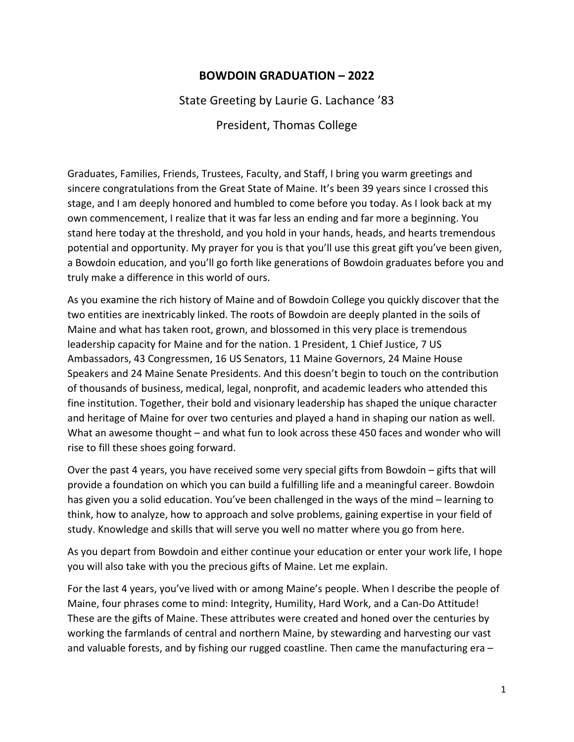## **BOWDOIN GRADUATION – 2022**

State Greeting by Laurie G. Lachance '83

President, Thomas College

Graduates, Families, Friends, Trustees, Faculty, and Staff, I bring you warm greetings and sincere congratulations from the Great State of Maine. It's been 39 years since I crossed this stage, and I am deeply honored and humbled to come before you today. As I look back at my own commencement, I realize that it was far less an ending and far more a beginning. You stand here today at the threshold, and you hold in your hands, heads, and hearts tremendous potential and opportunity. My prayer for you is that you'll use this great gift you've been given, a Bowdoin education, and you'll go forth like generations of Bowdoin graduates before you and truly make a difference in this world of ours.

As you examine the rich history of Maine and of Bowdoin College you quickly discover that the two entities are inextricably linked. The roots of Bowdoin are deeply planted in the soils of Maine and what has taken root, grown, and blossomed in this very place is tremendous leadership capacity for Maine and for the nation. 1 President, 1 Chief Justice, 7 US Ambassadors, 43 Congressmen, 16 US Senators, 11 Maine Governors, 24 Maine House Speakers and 24 Maine Senate Presidents. And this doesn't begin to touch on the contribution of thousands of business, medical, legal, nonprofit, and academic leaders who attended this fine institution. Together, their bold and visionary leadership has shaped the unique character and heritage of Maine for over two centuries and played a hand in shaping our nation as well. What an awesome thought – and what fun to look across these 450 faces and wonder who will rise to fill these shoes going forward.

Over the past 4 years, you have received some very special gifts from Bowdoin – gifts that will provide a foundation on which you can build a fulfilling life and a meaningful career. Bowdoin has given you a solid education. You've been challenged in the ways of the mind – learning to think, how to analyze, how to approach and solve problems, gaining expertise in your field of study. Knowledge and skills that will serve you well no matter where you go from here.

As you depart from Bowdoin and either continue your education or enter your work life, I hope you will also take with you the precious gifts of Maine. Let me explain.

For the last 4 years, you've lived with or among Maine's people. When I describe the people of Maine, four phrases come to mind: Integrity, Humility, Hard Work, and a Can-Do Attitude! These are the gifts of Maine. These attributes were created and honed over the centuries by working the farmlands of central and northern Maine, by stewarding and harvesting our vast and valuable forests, and by fishing our rugged coastline. Then came the manufacturing era –